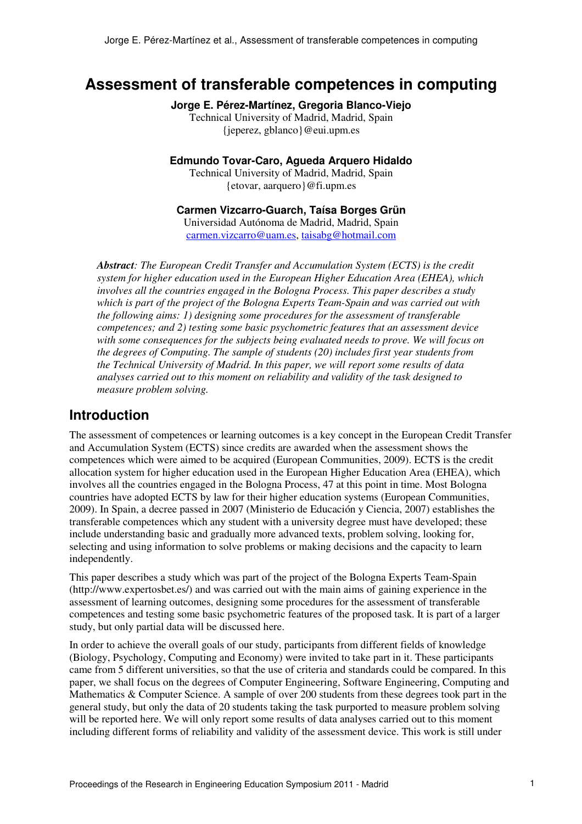# **Assessment of transferable competences in computing**

**Jorge E. Pérez-Martínez, Gregoria Blanco-Viejo**  Technical University of Madrid, Madrid, Spain

{jeperez, gblanco}@eui.upm.es

**Edmundo Tovar-Caro, Agueda Arquero Hidaldo** 

Technical University of Madrid, Madrid, Spain {etovar, aarquero}@fi.upm.es

**Carmen Vizcarro-Guarch, Taísa Borges Grün** 

Universidad Autónoma de Madrid, Madrid, Spain carmen.vizcarro@uam.es, taisabg@hotmail.com

*Abstract: The European Credit Transfer and Accumulation System (ECTS) is the credit system for higher education used in the European Higher Education Area (EHEA), which involves all the countries engaged in the Bologna Process. This paper describes a study which is part of the project of the Bologna Experts Team-Spain and was carried out with the following aims: 1) designing some procedures for the assessment of transferable competences; and 2) testing some basic psychometric features that an assessment device with some consequences for the subjects being evaluated needs to prove. We will focus on the degrees of Computing. The sample of students (20) includes first year students from the Technical University of Madrid. In this paper, we will report some results of data analyses carried out to this moment on reliability and validity of the task designed to measure problem solving.* 

# **Introduction**

The assessment of competences or learning outcomes is a key concept in the European Credit Transfer and Accumulation System (ECTS) since credits are awarded when the assessment shows the competences which were aimed to be acquired (European Communities, 2009). ECTS is the credit allocation system for higher education used in the European Higher Education Area (EHEA), which involves all the countries engaged in the Bologna Process, 47 at this point in time. Most Bologna countries have adopted ECTS by law for their higher education systems (European Communities, 2009). In Spain, a decree passed in 2007 (Ministerio de Educación y Ciencia, 2007) establishes the transferable competences which any student with a university degree must have developed; these include understanding basic and gradually more advanced texts, problem solving, looking for, selecting and using information to solve problems or making decisions and the capacity to learn independently.

This paper describes a study which was part of the project of the Bologna Experts Team-Spain (http://www.expertosbet.es/) and was carried out with the main aims of gaining experience in the assessment of learning outcomes, designing some procedures for the assessment of transferable competences and testing some basic psychometric features of the proposed task. It is part of a larger study, but only partial data will be discussed here.

In order to achieve the overall goals of our study, participants from different fields of knowledge (Biology, Psychology, Computing and Economy) were invited to take part in it. These participants came from 5 different universities, so that the use of criteria and standards could be compared. In this paper, we shall focus on the degrees of Computer Engineering, Software Engineering, Computing and Mathematics & Computer Science. A sample of over 200 students from these degrees took part in the general study, but only the data of 20 students taking the task purported to measure problem solving will be reported here. We will only report some results of data analyses carried out to this moment including different forms of reliability and validity of the assessment device. This work is still under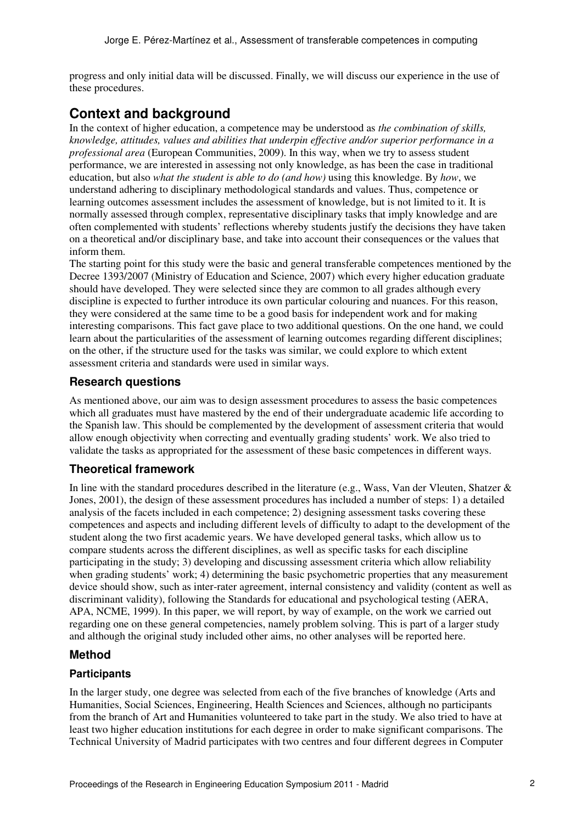progress and only initial data will be discussed. Finally, we will discuss our experience in the use of these procedures.

# **Context and background**

In the context of higher education, a competence may be understood as *the combination of skills, knowledge, attitudes, values and abilities that underpin effective and/or superior performance in a professional area* (European Communities, 2009). In this way, when we try to assess student performance, we are interested in assessing not only knowledge, as has been the case in traditional education, but also *what the student is able to do (and how)* using this knowledge. By *how*, we understand adhering to disciplinary methodological standards and values. Thus, competence or learning outcomes assessment includes the assessment of knowledge, but is not limited to it. It is normally assessed through complex, representative disciplinary tasks that imply knowledge and are often complemented with students' reflections whereby students justify the decisions they have taken on a theoretical and/or disciplinary base, and take into account their consequences or the values that inform them.

The starting point for this study were the basic and general transferable competences mentioned by the Decree 1393/2007 (Ministry of Education and Science, 2007) which every higher education graduate should have developed. They were selected since they are common to all grades although every discipline is expected to further introduce its own particular colouring and nuances. For this reason, they were considered at the same time to be a good basis for independent work and for making interesting comparisons. This fact gave place to two additional questions. On the one hand, we could learn about the particularities of the assessment of learning outcomes regarding different disciplines; on the other, if the structure used for the tasks was similar, we could explore to which extent assessment criteria and standards were used in similar ways.

# **Research questions**

As mentioned above, our aim was to design assessment procedures to assess the basic competences which all graduates must have mastered by the end of their undergraduate academic life according to the Spanish law. This should be complemented by the development of assessment criteria that would allow enough objectivity when correcting and eventually grading students' work. We also tried to validate the tasks as appropriated for the assessment of these basic competences in different ways.

# **Theoretical framework**

In line with the standard procedures described in the literature (e.g., Wass, Van der Vleuten, Shatzer & Jones, 2001), the design of these assessment procedures has included a number of steps: 1) a detailed analysis of the facets included in each competence; 2) designing assessment tasks covering these competences and aspects and including different levels of difficulty to adapt to the development of the student along the two first academic years. We have developed general tasks, which allow us to compare students across the different disciplines, as well as specific tasks for each discipline participating in the study; 3) developing and discussing assessment criteria which allow reliability when grading students' work; 4) determining the basic psychometric properties that any measurement device should show, such as inter-rater agreement, internal consistency and validity (content as well as discriminant validity), following the Standards for educational and psychological testing (AERA, APA, NCME, 1999). In this paper, we will report, by way of example, on the work we carried out regarding one on these general competencies, namely problem solving. This is part of a larger study and although the original study included other aims, no other analyses will be reported here.

# **Method**

### **Participants**

In the larger study, one degree was selected from each of the five branches of knowledge (Arts and Humanities, Social Sciences, Engineering, Health Sciences and Sciences, although no participants from the branch of Art and Humanities volunteered to take part in the study. We also tried to have at least two higher education institutions for each degree in order to make significant comparisons. The Technical University of Madrid participates with two centres and four different degrees in Computer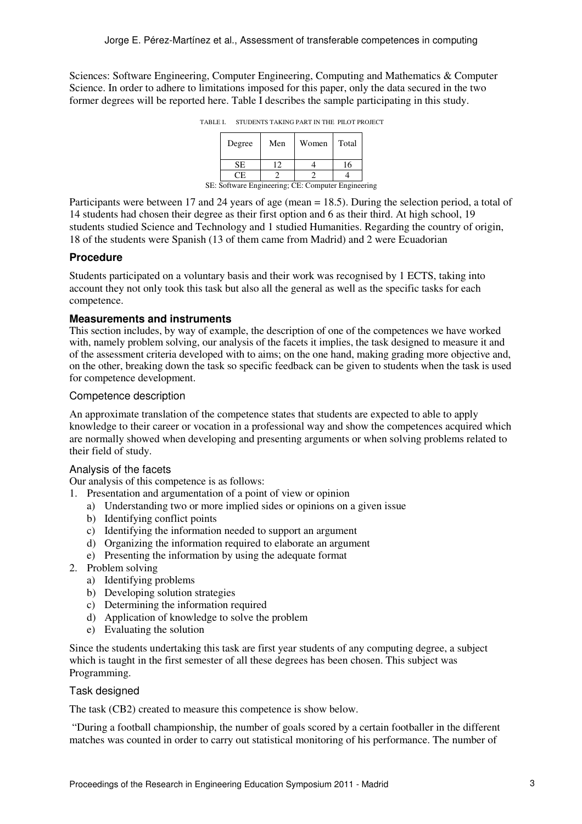Sciences: Software Engineering, Computer Engineering, Computing and Mathematics & Computer Science. In order to adhere to limitations imposed for this paper, only the data secured in the two former degrees will be reported here. Table I describes the sample participating in this study.

TABLE I. STUDENTS TAKING PART IN THE PILOT PROJECT

|                                                    | Degree    | Men | Women | Total |  |
|----------------------------------------------------|-----------|-----|-------|-------|--|
|                                                    | <b>SE</b> |     |       | 16    |  |
|                                                    | CE.       |     |       |       |  |
| SE: Software Engineering; CE: Computer Engineering |           |     |       |       |  |

Participants were between 17 and 24 years of age (mean = 18.5). During the selection period, a total of 14 students had chosen their degree as their first option and 6 as their third. At high school, 19 students studied Science and Technology and 1 studied Humanities. Regarding the country of origin, 18 of the students were Spanish (13 of them came from Madrid) and 2 were Ecuadorian

#### **Procedure**

Students participated on a voluntary basis and their work was recognised by 1 ECTS, taking into account they not only took this task but also all the general as well as the specific tasks for each competence.

#### **Measurements and instruments**

This section includes, by way of example, the description of one of the competences we have worked with, namely problem solving, our analysis of the facets it implies, the task designed to measure it and of the assessment criteria developed with to aims; on the one hand, making grading more objective and, on the other, breaking down the task so specific feedback can be given to students when the task is used for competence development.

#### Competence description

An approximate translation of the competence states that students are expected to able to apply knowledge to their career or vocation in a professional way and show the competences acquired which are normally showed when developing and presenting arguments or when solving problems related to their field of study.

#### Analysis of the facets

Our analysis of this competence is as follows:

- 1. Presentation and argumentation of a point of view or opinion
	- a) Understanding two or more implied sides or opinions on a given issue
	- b) Identifying conflict points
	- c) Identifying the information needed to support an argument
	- d) Organizing the information required to elaborate an argument
	- e) Presenting the information by using the adequate format
- 2. Problem solving
	- a) Identifying problems
	- b) Developing solution strategies
	- c) Determining the information required
	- d) Application of knowledge to solve the problem
	- e) Evaluating the solution

Since the students undertaking this task are first year students of any computing degree, a subject which is taught in the first semester of all these degrees has been chosen. This subject was Programming.

#### Task designed

The task (CB2) created to measure this competence is show below.

 "During a football championship, the number of goals scored by a certain footballer in the different matches was counted in order to carry out statistical monitoring of his performance. The number of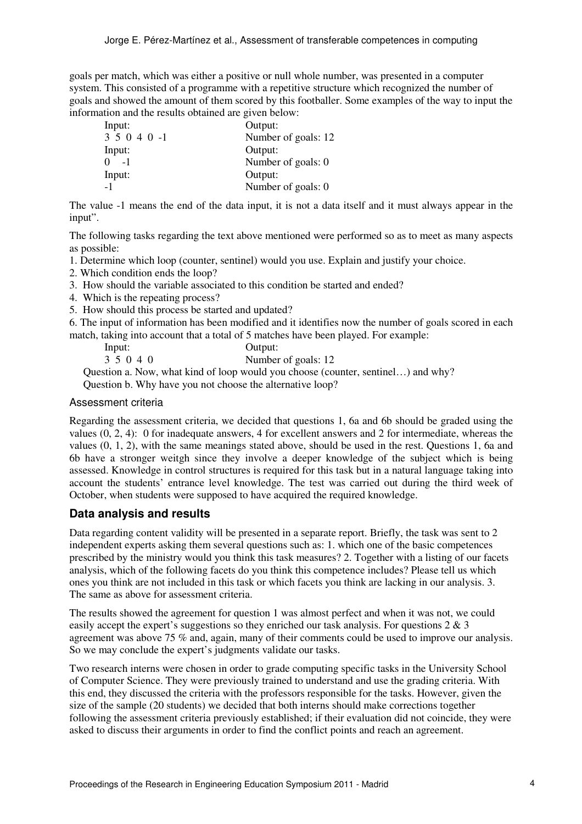goals per match, which was either a positive or null whole number, was presented in a computer system. This consisted of a programme with a repetitive structure which recognized the number of goals and showed the amount of them scored by this footballer. Some examples of the way to input the information and the results obtained are given below:

| Input:     | Output:             |
|------------|---------------------|
| $35040 -1$ | Number of goals: 12 |
| Input:     | Output:             |
| $0 -1$     | Number of goals: 0  |
| Input:     | Output:             |
| -1         | Number of goals: 0  |

The value -1 means the end of the data input, it is not a data itself and it must always appear in the input".

The following tasks regarding the text above mentioned were performed so as to meet as many aspects as possible:

1. Determine which loop (counter, sentinel) would you use. Explain and justify your choice.

- 2. Which condition ends the loop?
- 3. How should the variable associated to this condition be started and ended?
- 4. Which is the repeating process?
- 5. How should this process be started and updated?

6. The input of information has been modified and it identifies now the number of goals scored in each match, taking into account that a total of 5 matches have been played. For example:

| lnput:    | Output:             |
|-----------|---------------------|
| 3 5 0 4 0 | Number of goals: 12 |

Question a. Now, what kind of loop would you choose (counter, sentinel…) and why? Question b. Why have you not choose the alternative loop?

#### Assessment criteria

Regarding the assessment criteria, we decided that questions 1, 6a and 6b should be graded using the values (0, 2, 4): 0 for inadequate answers, 4 for excellent answers and 2 for intermediate, whereas the values (0, 1, 2), with the same meanings stated above, should be used in the rest. Questions 1, 6a and 6b have a stronger weitgh since they involve a deeper knowledge of the subject which is being assessed. Knowledge in control structures is required for this task but in a natural language taking into account the students' entrance level knowledge. The test was carried out during the third week of October, when students were supposed to have acquired the required knowledge.

#### **Data analysis and results**

Data regarding content validity will be presented in a separate report. Briefly, the task was sent to 2 independent experts asking them several questions such as: 1. which one of the basic competences prescribed by the ministry would you think this task measures? 2. Together with a listing of our facets analysis, which of the following facets do you think this competence includes? Please tell us which ones you think are not included in this task or which facets you think are lacking in our analysis. 3. The same as above for assessment criteria.

The results showed the agreement for question 1 was almost perfect and when it was not, we could easily accept the expert's suggestions so they enriched our task analysis. For questions 2 & 3 agreement was above 75 % and, again, many of their comments could be used to improve our analysis. So we may conclude the expert's judgments validate our tasks.

Two research interns were chosen in order to grade computing specific tasks in the University School of Computer Science. They were previously trained to understand and use the grading criteria. With this end, they discussed the criteria with the professors responsible for the tasks. However, given the size of the sample (20 students) we decided that both interns should make corrections together following the assessment criteria previously established; if their evaluation did not coincide, they were asked to discuss their arguments in order to find the conflict points and reach an agreement.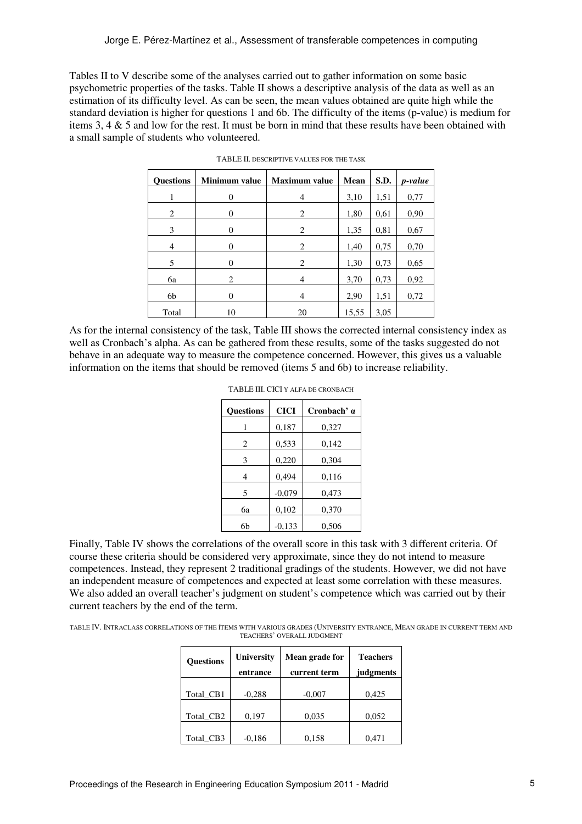Tables II to V describe some of the analyses carried out to gather information on some basic psychometric properties of the tasks. Table II shows a descriptive analysis of the data as well as an estimation of its difficulty level. As can be seen, the mean values obtained are quite high while the standard deviation is higher for questions 1 and 6b. The difficulty of the items (p-value) is medium for items 3, 4  $\&$  5 and low for the rest. It must be born in mind that these results have been obtained with a small sample of students who volunteered.

| <b>Questions</b> | <b>Minimum</b> value | <b>Maximum</b> value | Mean  | S.D. | p-value |
|------------------|----------------------|----------------------|-------|------|---------|
|                  | 0                    | 4                    | 3,10  | 1,51 | 0,77    |
| 2                | 0                    | 2                    | 1,80  | 0,61 | 0,90    |
| 3                | 0                    | 2                    | 1,35  | 0,81 | 0,67    |
| 4                | 0                    | 2                    | 1,40  | 0,75 | 0,70    |
| 5                | 0                    | 2                    | 1,30  | 0,73 | 0,65    |
| 6a               | 2                    | 4                    | 3,70  | 0,73 | 0,92    |
| 6b               | $\theta$             | 4                    | 2,90  | 1,51 | 0,72    |
| Total            | 10                   | 20                   | 15,55 | 3,05 |         |

TABLE II. DESCRIPTIVE VALUES FOR THE TASK

As for the internal consistency of the task, Table III shows the corrected internal consistency index as well as Cronbach's alpha. As can be gathered from these results, some of the tasks suggested do not behave in an adequate way to measure the competence concerned. However, this gives us a valuable information on the items that should be removed (items 5 and 6b) to increase reliability.

| <b>Questions</b> | <b>CICI</b> | Cronbach' a |
|------------------|-------------|-------------|
| 1                | 0,187       | 0,327       |
| 2                | 0,533       | 0,142       |
| 3                | 0,220       | 0,304       |
| 4                | 0,494       | 0,116       |
| 5                | $-0,079$    | 0,473       |
| 6a               | 0,102       | 0,370       |
| 6b               | $-0,133$    | 0,506       |

| TABLE III. CICI Y ALFA DE CRONBACH |  |  |  |
|------------------------------------|--|--|--|
|------------------------------------|--|--|--|

Finally, Table IV shows the correlations of the overall score in this task with 3 different criteria. Of course these criteria should be considered very approximate, since they do not intend to measure competences. Instead, they represent 2 traditional gradings of the students. However, we did not have an independent measure of competences and expected at least some correlation with these measures. We also added an overall teacher's judgment on student's competence which was carried out by their current teachers by the end of the term.

TABLE IV. INTRACLASS CORRELATIONS OF THE ÍTEMS WITH VARIOUS GRADES (UNIVERSITY ENTRANCE, MEAN GRADE IN CURRENT TERM AND TEACHERS' OVERALL JUDGMENT

| <b>Ouestions</b> | <b>University</b><br>entrance | Mean grade for<br>current term | <b>Teachers</b><br>judgments |
|------------------|-------------------------------|--------------------------------|------------------------------|
| Total CB1        | $-0,288$                      | $-0,007$                       | 0,425                        |
| Total CB2        | 0,197                         | 0,035                          | 0,052                        |
| Total CB3        | $-0.186$                      | 0,158                          | 0.471                        |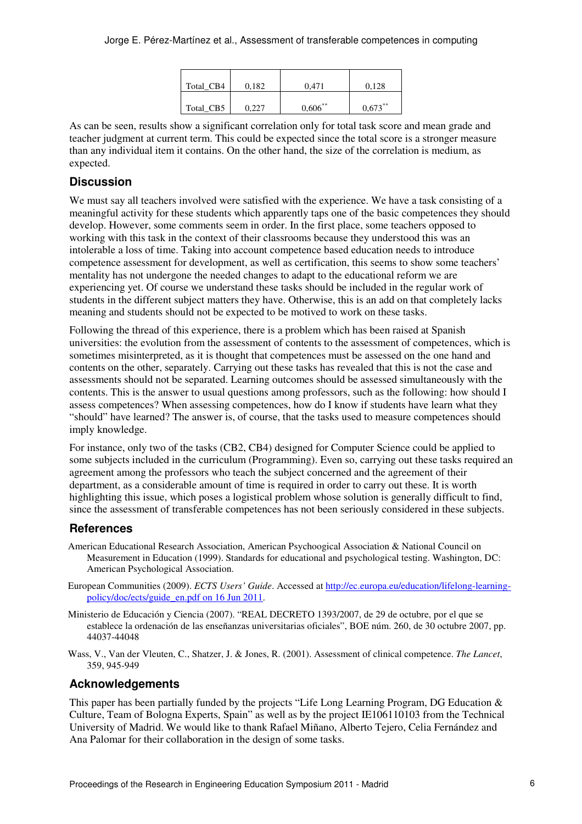| Total CB4 | 0.182 | 0.471      | 0.128      |
|-----------|-------|------------|------------|
| Total_CB5 | 0,227 | $0,606$ ** | $0,673***$ |

As can be seen, results show a significant correlation only for total task score and mean grade and teacher judgment at current term. This could be expected since the total score is a stronger measure than any individual item it contains. On the other hand, the size of the correlation is medium, as expected.

### **Discussion**

We must say all teachers involved were satisfied with the experience. We have a task consisting of a meaningful activity for these students which apparently taps one of the basic competences they should develop. However, some comments seem in order. In the first place, some teachers opposed to working with this task in the context of their classrooms because they understood this was an intolerable a loss of time. Taking into account competence based education needs to introduce competence assessment for development, as well as certification, this seems to show some teachers' mentality has not undergone the needed changes to adapt to the educational reform we are experiencing yet. Of course we understand these tasks should be included in the regular work of students in the different subject matters they have. Otherwise, this is an add on that completely lacks meaning and students should not be expected to be motived to work on these tasks.

Following the thread of this experience, there is a problem which has been raised at Spanish universities: the evolution from the assessment of contents to the assessment of competences, which is sometimes misinterpreted, as it is thought that competences must be assessed on the one hand and contents on the other, separately. Carrying out these tasks has revealed that this is not the case and assessments should not be separated. Learning outcomes should be assessed simultaneously with the contents. This is the answer to usual questions among professors, such as the following: how should I assess competences? When assessing competences, how do I know if students have learn what they "should" have learned? The answer is, of course, that the tasks used to measure competences should imply knowledge.

For instance, only two of the tasks (CB2, CB4) designed for Computer Science could be applied to some subjects included in the curriculum (Programming). Even so, carrying out these tasks required an agreement among the professors who teach the subject concerned and the agreement of their department, as a considerable amount of time is required in order to carry out these. It is worth highlighting this issue, which poses a logistical problem whose solution is generally difficult to find, since the assessment of transferable competences has not been seriously considered in these subjects.

### **References**

- American Educational Research Association, American Psychoogical Association & National Council on Measurement in Education (1999). Standards for educational and psychological testing. Washington, DC: American Psychological Association.
- European Communities (2009). *ECTS Users' Guide*. Accessed at http://ec.europa.eu/education/lifelong-learningpolicy/doc/ects/guide\_en.pdf on 16 Jun 2011.
- Ministerio de Educación y Ciencia (2007). "REAL DECRETO 1393/2007, de 29 de octubre, por el que se establece la ordenación de las enseñanzas universitarias oficiales", BOE núm. 260, de 30 octubre 2007, pp. 44037-44048
- Wass, V., Van der Vleuten, C., Shatzer, J. & Jones, R. (2001). Assessment of clinical competence. *The Lancet*, 359, 945-949

### **Acknowledgements**

This paper has been partially funded by the projects "Life Long Learning Program, DG Education & Culture, Team of Bologna Experts, Spain" as well as by the project IE106110103 from the Technical University of Madrid. We would like to thank Rafael Miñano, Alberto Tejero, Celia Fernández and Ana Palomar for their collaboration in the design of some tasks.